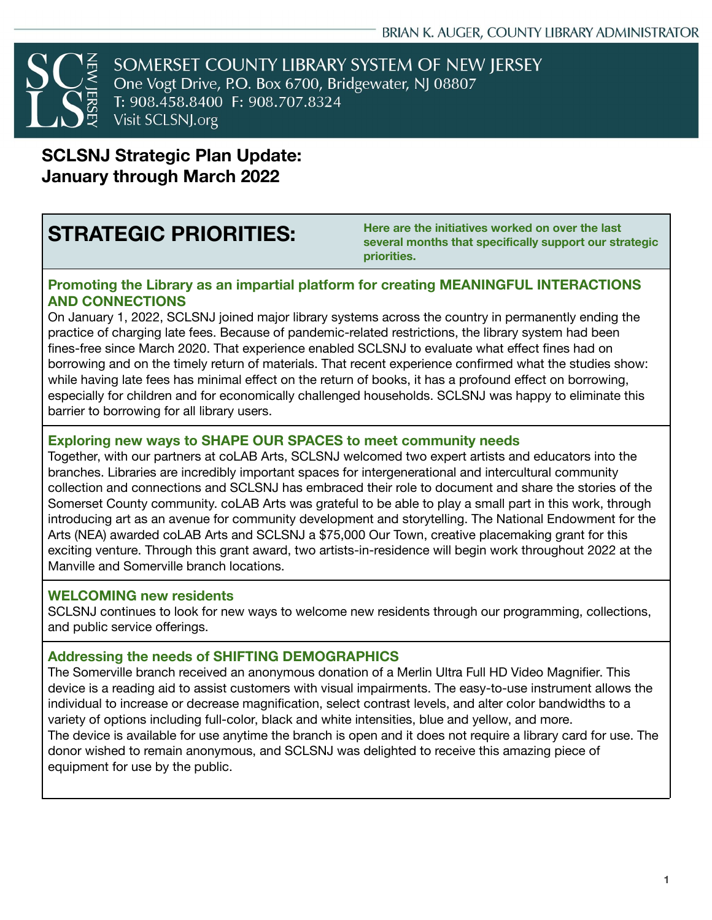SOMERSET COUNTY LIBRARY SYSTEM OF NEW JERSEY One Vogt Drive, P.O. Box 6700, Bridgewater, NJ 08807 T: 908.458.8400 F: 908.707.8324 Visit SCLSNJ.org

# **SCLSNJ Strategic Plan Update: January through March 2022**

**STRATEGIC PRIORITIES: Here are the initiatives worked on over the last several months that specifically support our strategic priorities.**

#### **Promoting the Library as an impartial platform for creating MEANINGFUL INTERACTIONS AND CONNECTIONS**

On January 1, 2022, SCLSNJ joined major library systems across the country in permanently ending the practice of charging late fees. Because of pandemic-related restrictions, the library system had been fines-free since March 2020. That experience enabled SCLSNJ to evaluate what effect fines had on borrowing and on the timely return of materials. That recent experience confirmed what the studies show: while having late fees has minimal effect on the return of books, it has a profound effect on borrowing, especially for children and for economically challenged households. SCLSNJ was happy to eliminate this barrier to borrowing for all library users.

#### **Exploring new ways to SHAPE OUR SPACES to meet community needs**

Together, with our partners at coLAB Arts, SCLSNJ welcomed two expert artists and educators into the branches. Libraries are incredibly important spaces for intergenerational and intercultural community collection and connections and SCLSNJ has embraced their role to document and share the stories of the Somerset County community. coLAB Arts was grateful to be able to play a small part in this work, through introducing art as an avenue for community development and storytelling. The National Endowment for the Arts (NEA) awarded coLAB Arts and SCLSNJ a \$75,000 Our Town, creative placemaking grant for this exciting venture. Through this grant award, two artists-in-residence will begin work throughout 2022 at the Manville and Somerville branch locations.

#### **WELCOMING new residents**

SCLSNJ continues to look for new ways to welcome new residents through our programming, collections, and public service offerings.

#### **Addressing the needs of SHIFTING DEMOGRAPHICS**

The Somerville branch received an anonymous donation of a Merlin Ultra Full HD Video Magnifier. This device is a reading aid to assist customers with visual impairments. The easy-to-use instrument allows the individual to increase or decrease magnification, select contrast levels, and alter color bandwidths to a variety of options including full-color, black and white intensities, blue and yellow, and more. The device is available for use anytime the branch is open and it does not require a library card for use. The donor wished to remain anonymous, and SCLSNJ was delighted to receive this amazing piece of equipment for use by the public.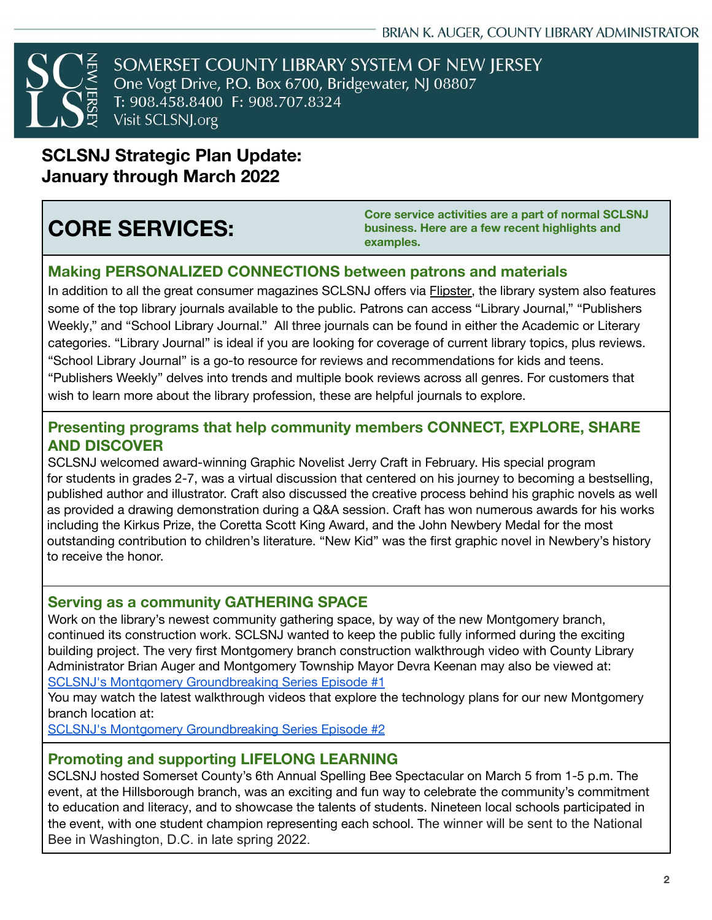SOMERSET COUNTY LIBRARY SYSTEM OF NEW JERSEY One Vogt Drive, P.O. Box 6700, Bridgewater, NJ 08807 T: 908.458.8400 F: 908.707.8324 Visit SCLSNJ.org

## **SCLSNJ Strategic Plan Update: January through March 2022**

# **CORE SERVICES:**

**Core service activities are a part of normal SCLSNJ business. Here are a few recent highlights and examples.**

### **Making PERSONALIZED CONNECTIONS between patrons and materials**

In addition to all the great consumer magazines SCLSNJ offers via **Flipster**, the library system also features some of the top library journals available to the public. Patrons can access "Library Journal," "Publishers Weekly," and "School Library Journal." All three journals can be found in either the Academic or Literary categories. "Library Journal" is ideal if you are looking for coverage of current library topics, plus reviews. "School Library Journal" is a go-to resource for reviews and recommendations for kids and teens. "Publishers Weekly" delves into trends and multiple book reviews across all genres. For customers that wish to learn more about the library profession, these are helpful journals to explore.

#### **Presenting programs that help community members CONNECT, EXPLORE, SHARE AND DISCOVER**

SCLSNJ welcomed award-winning Graphic Novelist Jerry Craft in February. His special program for students in grades 2-7, was a virtual discussion that centered on his journey to becoming a bestselling, published author and illustrator. Craft also discussed the creative process behind his graphic novels as well as provided a drawing demonstration during a Q&A session. Craft has won numerous awards for his works including the Kirkus Prize, the Coretta Scott King Award, and the John Newbery Medal for the most outstanding contribution to children's literature. "New Kid" was the first graphic novel in Newbery's history to receive the honor.

#### **Serving as a community GATHERING SPACE**

Work on the library's newest community gathering space, by way of the new Montgomery branch, continued its construction work. SCLSNJ wanted to keep the public fully informed during the exciting building project. The very first Montgomery branch construction walkthrough video with County Library Administrator Brian Auger and Montgomery Township Mayor Devra Keenan may also be viewed at: SCLSNJ's Montgomery [Groundbreaking](https://youtu.be/bG5HCHjCxrU) Series Episode #1

You may watch the latest walkthrough videos that explore the technology plans for our new Montgomery branch location at:

SCLSNJ's Montgomery [Groundbreaking](https://youtu.be/CAzjCeeWP7k) Series Episode #2

#### **Promoting and supporting LIFELONG LEARNING**

SCLSNJ hosted Somerset County's 6th Annual Spelling Bee [Spectacular](https://sclsnj.libnet.info/event/5847120) on March 5 from 1-5 p.m. The event, at the Hillsborough branch, was an exciting and fun way to celebrate the community's commitment to education and literacy, and to showcase the talents of students. Nineteen local schools participated in the event, with one student champion representing each school. The winner will be sent to the National Bee in Washington, D.C. in late spring 2022.